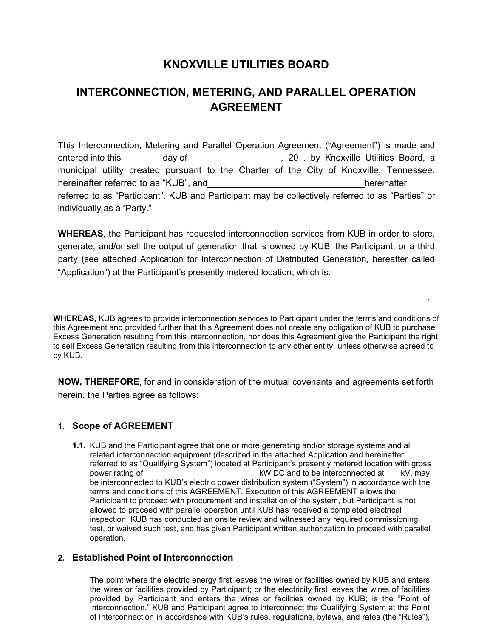# **KNOXVILLE UTILITIES BOARD**

# **INTERCONNECTION, METERING, AND PARALLEL OPERATION AGREEMENT**

This Interconnection, Metering and Parallel Operation Agreement ("Agreement") is made and entered into this day of the state of the state of the state of the state of the state of the state of the state of the state of the state of the state of the state of the state of the state of the state of the state of th municipal utility created pursuant to the Charter of the City of Knoxville, Tennessee. hereinafter referred to as "KUB", and hereinafter hereinafter referred to as "Participant". KUB and Participant may be collectively referred to as "Parties" or individually as a "Party."

**WHEREAS**, the Participant has requested interconnection services from KUB in order to store, generate, and/or sell the output of generation that is owned by KUB, the Participant, or a third party (see attached Application for Interconnection of Distributed Generation, hereafter called "Application") at the Participant's presently metered location, which is:

**WHEREAS,** KUB agrees to provide interconnection services to Participant under the terms and conditions of this Agreement and provided further that this Agreement does not create any obligation of KUB to purchase Excess Generation resulting from this interconnection, nor does this Agreement give the Participant the right to sell Excess Generation resulting from this interconnection to any other entity, unless otherwise agreed to by KUB.

.

**NOW, THEREFORE**, for and in consideration of the mutual covenants and agreements set forth herein, the Parties agree as follows:

# **1. Scope of AGREEMENT**

**1.1.** KUB and the Participant agree that one or more generating and/or storage systems and all related interconnection equipment (described in the attached Application and hereinafter referred to as "Qualifying System") located at Participant's presently metered location with gross power rating of the connected at kV, may be interconnected at kV, may be interconnected to KUB's electric power distribution system ("System") in accordance with the terms and conditions of this AGREEMENT. Execution of this AGREEMENT allows the Participant to proceed with procurement and installation of the system, but Participant is not allowed to proceed with parallel operation until KUB has received a completed electrical inspection, KUB has conducted an onsite review and witnessed any required commissioning test, or waived such test, and has given Participant written authorization to proceed with parallel operation.

# **2. Established Point of Interconnection**

The point where the electric energy first leaves the wires or facilities owned by KUB and enters the wires or facilities provided by Participant; or the electricity first leaves the wires of facilities provided by Participant and enters the wires or facilities owned by KUB; is the "Point of Interconnection." KUB and Participant agree to interconnect the Qualifying System at the Point of Interconnection in accordance with KUB's rules, regulations, bylaws, and rates (the "Rules"),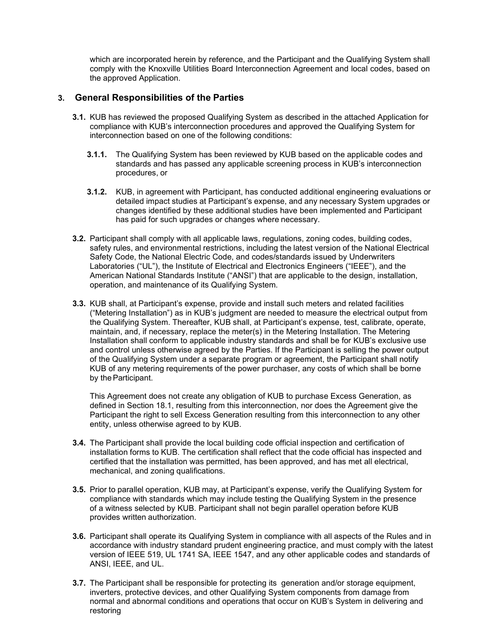which are incorporated herein by reference, and the Participant and the Qualifying System shall comply with the Knoxville Utilities Board Interconnection Agreement and local codes, based on the approved Application.

## **3. General Responsibilities of the Parties**

- **3.1.** KUB has reviewed the proposed Qualifying System as described in the attached Application for compliance with KUB's interconnection procedures and approved the Qualifying System for interconnection based on one of the following conditions:
	- **3.1.1.** The Qualifying System has been reviewed by KUB based on the applicable codes and standards and has passed any applicable screening process in KUB's interconnection procedures, or
	- **3.1.2.** KUB, in agreement with Participant, has conducted additional engineering evaluations or detailed impact studies at Participant's expense, and any necessary System upgrades or changes identified by these additional studies have been implemented and Participant has paid for such upgrades or changes where necessary.
- **3.2.** Participant shall comply with all applicable laws, regulations, zoning codes, building codes, safety rules, and environmental restrictions, including the latest version of the National Electrical Safety Code, the National Electric Code, and codes/standards issued by Underwriters Laboratories ("UL"), the Institute of Electrical and Electronics Engineers ("IEEE"), and the American National Standards Institute ("ANSI") that are applicable to the design, installation, operation, and maintenance of its Qualifying System.
- **3.3.** KUB shall, at Participant's expense, provide and install such meters and related facilities ("Metering Installation") as in KUB's judgment are needed to measure the electrical output from the Qualifying System. Thereafter, KUB shall, at Participant's expense, test, calibrate, operate, maintain, and, if necessary, replace the meter(s) in the Metering Installation. The Metering Installation shall conform to applicable industry standards and shall be for KUB's exclusive use and control unless otherwise agreed by the Parties. If the Participant is selling the power output of the Qualifying System under a separate program or agreement, the Participant shall notify KUB of any metering requirements of the power purchaser, any costs of which shall be borne by the Participant.

This Agreement does not create any obligation of KUB to purchase Excess Generation, as defined in Section 18.1, resulting from this interconnection, nor does the Agreement give the Participant the right to sell Excess Generation resulting from this interconnection to any other entity, unless otherwise agreed to by KUB.

- **3.4.** The Participant shall provide the local building code official inspection and certification of installation forms to KUB. The certification shall reflect that the code official has inspected and certified that the installation was permitted, has been approved, and has met all electrical, mechanical, and zoning qualifications.
- **3.5.** Prior to parallel operation, KUB may, at Participant's expense, verify the Qualifying System for compliance with standards which may include testing the Qualifying System in the presence of a witness selected by KUB. Participant shall not begin parallel operation before KUB provides written authorization.
- **3.6.** Participant shall operate its Qualifying System in compliance with all aspects of the Rules and in accordance with industry standard prudent engineering practice, and must comply with the latest version of IEEE 519, UL 1741 SA, IEEE 1547, and any other applicable codes and standards of ANSI, IEEE, and UL.
- **3.7.** The Participant shall be responsible for protecting its generation and/or storage equipment, inverters, protective devices, and other Qualifying System components from damage from normal and abnormal conditions and operations that occur on KUB's System in delivering and restoring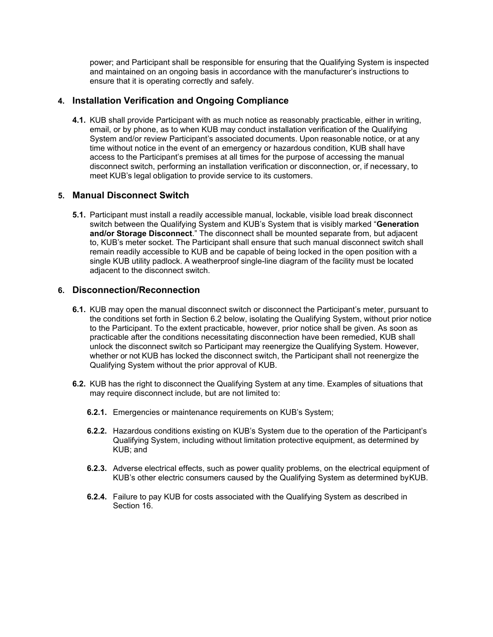power; and Participant shall be responsible for ensuring that the Qualifying System is inspected and maintained on an ongoing basis in accordance with the manufacturer's instructions to ensure that it is operating correctly and safely.

## **4. Installation Verification and Ongoing Compliance**

**4.1.** KUB shall provide Participant with as much notice as reasonably practicable, either in writing, email, or by phone, as to when KUB may conduct installation verification of the Qualifying System and/or review Participant's associated documents. Upon reasonable notice, or at any time without notice in the event of an emergency or hazardous condition, KUB shall have access to the Participant's premises at all times for the purpose of accessing the manual disconnect switch, performing an installation verification or disconnection, or, if necessary, to meet KUB's legal obligation to provide service to its customers.

## **5. Manual Disconnect Switch**

**5.1.** Participant must install a readily accessible manual, lockable, visible load break disconnect switch between the Qualifying System and KUB's System that is visibly marked "**Generation and/or Storage Disconnect**." The disconnect shall be mounted separate from, but adjacent to, KUB's meter socket. The Participant shall ensure that such manual disconnect switch shall remain readily accessible to KUB and be capable of being locked in the open position with a single KUB utility padlock. A weatherproof single-line diagram of the facility must be located adjacent to the disconnect switch.

## **6. Disconnection/Reconnection**

- **6.1.** KUB may open the manual disconnect switch or disconnect the Participant's meter, pursuant to the conditions set forth in Section 6.2 below, isolating the Qualifying System, without prior notice to the Participant. To the extent practicable, however, prior notice shall be given. As soon as practicable after the conditions necessitating disconnection have been remedied, KUB shall unlock the disconnect switch so Participant may reenergize the Qualifying System. However, whether or not KUB has locked the disconnect switch, the Participant shall not reenergize the Qualifying System without the prior approval of KUB.
- **6.2.** KUB has the right to disconnect the Qualifying System at any time. Examples of situations that may require disconnect include, but are not limited to:
	- **6.2.1.** Emergencies or maintenance requirements on KUB's System;
	- **6.2.2.** Hazardous conditions existing on KUB's System due to the operation of the Participant's Qualifying System, including without limitation protective equipment, as determined by KUB; and
	- **6.2.3.** Adverse electrical effects, such as power quality problems, on the electrical equipment of KUB's other electric consumers caused by the Qualifying System as determined byKUB.
	- **6.2.4.** Failure to pay KUB for costs associated with the Qualifying System as described in Section 16.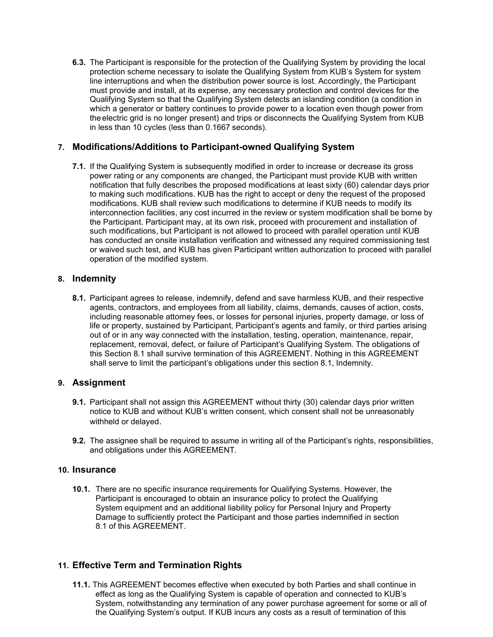**6.3.** The Participant is responsible for the protection of the Qualifying System by providing the local protection scheme necessary to isolate the Qualifying System from KUB's System for system line interruptions and when the distribution power source is lost. Accordingly, the Participant must provide and install, at its expense, any necessary protection and control devices for the Qualifying System so that the Qualifying System detects an islanding condition (a condition in which a generator or battery continues to provide power to a location even though power from the electric grid is no longer present) and trips or disconnects the Qualifying System from KUB in less than 10 cycles (less than 0.1667 seconds).

## **7. Modifications/Additions to Participant-owned Qualifying System**

**7.1.** If the Qualifying System is subsequently modified in order to increase or decrease its gross power rating or any components are changed, the Participant must provide KUB with written notification that fully describes the proposed modifications at least sixty (60) calendar days prior to making such modifications. KUB has the right to accept or deny the request of the proposed modifications. KUB shall review such modifications to determine if KUB needs to modify its interconnection facilities, any cost incurred in the review or system modification shall be borne by the Participant. Participant may, at its own risk, proceed with procurement and installation of such modifications, but Participant is not allowed to proceed with parallel operation until KUB has conducted an onsite installation verification and witnessed any required commissioning test or waived such test, and KUB has given Participant written authorization to proceed with parallel operation of the modified system.

## **8. Indemnity**

**8.1.** Participant agrees to release, indemnify, defend and save harmless KUB, and their respective agents, contractors, and employees from all liability, claims, demands, causes of action, costs, including reasonable attorney fees, or losses for personal injuries, property damage, or loss of life or property, sustained by Participant, Participant's agents and family, or third parties arising out of or in any way connected with the installation, testing, operation, maintenance, repair, replacement, removal, defect, or failure of Participant's Qualifying System. The obligations of this Section 8.1 shall survive termination of this AGREEMENT. Nothing in this AGREEMENT shall serve to limit the participant's obligations under this section 8.1, Indemnity.

# **9. Assignment**

- **9.1.** Participant shall not assign this AGREEMENT without thirty (30) calendar days prior written notice to KUB and without KUB's written consent, which consent shall not be unreasonably withheld or delayed.
- **9.2.** The assignee shall be required to assume in writing all of the Participant's rights, responsibilities, and obligations under this AGREEMENT.

#### **10. Insurance**

**10.1.** There are no specific insurance requirements for Qualifying Systems. However, the Participant is encouraged to obtain an insurance policy to protect the Qualifying System equipment and an additional liability policy for Personal Injury and Property Damage to sufficiently protect the Participant and those parties indemnified in section 8.1 of this AGREEMENT.

# **11. Effective Term and Termination Rights**

**11.1.** This AGREEMENT becomes effective when executed by both Parties and shall continue in effect as long as the Qualifying System is capable of operation and connected to KUB's System, notwithstanding any termination of any power purchase agreement for some or all of the Qualifying System's output. If KUB incurs any costs as a result of termination of this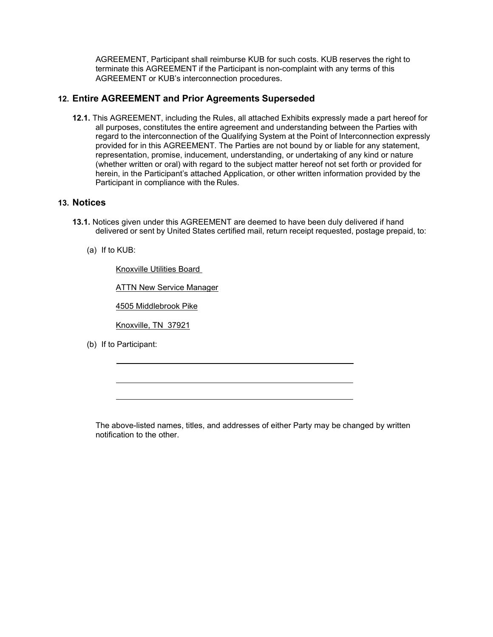AGREEMENT, Participant shall reimburse KUB for such costs. KUB reserves the right to terminate this AGREEMENT if the Participant is non-complaint with any terms of this AGREEMENT or KUB's interconnection procedures.

### **12. Entire AGREEMENT and Prior Agreements Superseded**

**12.1.** This AGREEMENT, including the Rules, all attached Exhibits expressly made a part hereof for all purposes, constitutes the entire agreement and understanding between the Parties with regard to the interconnection of the Qualifying System at the Point of Interconnection expressly provided for in this AGREEMENT. The Parties are not bound by or liable for any statement, representation, promise, inducement, understanding, or undertaking of any kind or nature (whether written or oral) with regard to the subject matter hereof not set forth or provided for herein, in the Participant's attached Application, or other written information provided by the Participant in compliance with the Rules.

#### **13. Notices**

- **13.1.** Notices given under this AGREEMENT are deemed to have been duly delivered if hand delivered or sent by United States certified mail, return receipt requested, postage prepaid, to:
	- (a) If to KUB:

Knoxville Utilities Board

**ATTN New Service Manager** 

4505 Middlebrook Pike

Knoxville, TN 37921

(b) If to Participant:

The above-listed names, titles, and addresses of either Party may be changed by written notification to the other.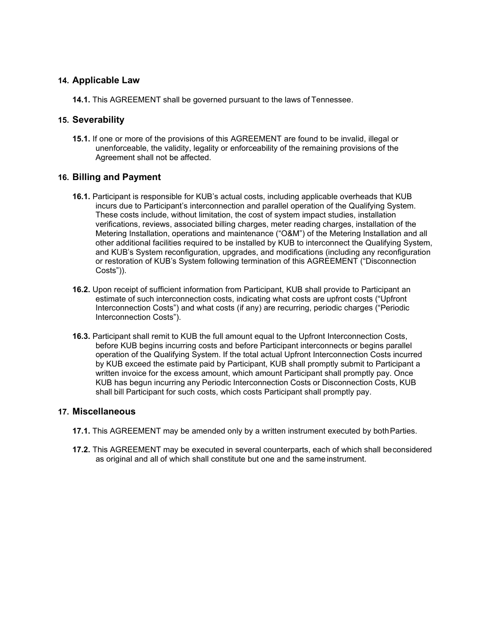#### **14. Applicable Law**

**14.1.** This AGREEMENT shall be governed pursuant to the laws of Tennessee.

#### **15. Severability**

**15.1.** If one or more of the provisions of this AGREEMENT are found to be invalid, illegal or unenforceable, the validity, legality or enforceability of the remaining provisions of the Agreement shall not be affected.

#### **16. Billing and Payment**

- **16.1.** Participant is responsible for KUB's actual costs, including applicable overheads that KUB incurs due to Participant's interconnection and parallel operation of the Qualifying System. These costs include, without limitation, the cost of system impact studies, installation verifications, reviews, associated billing charges, meter reading charges, installation of the Metering Installation, operations and maintenance ("O&M") of the Metering Installation and all other additional facilities required to be installed by KUB to interconnect the Qualifying System, and KUB's System reconfiguration, upgrades, and modifications (including any reconfiguration or restoration of KUB's System following termination of this AGREEMENT ("Disconnection Costs")).
- **16.2.** Upon receipt of sufficient information from Participant, KUB shall provide to Participant an estimate of such interconnection costs, indicating what costs are upfront costs ("Upfront Interconnection Costs") and what costs (if any) are recurring, periodic charges ("Periodic Interconnection Costs").
- **16.3.** Participant shall remit to KUB the full amount equal to the Upfront Interconnection Costs, before KUB begins incurring costs and before Participant interconnects or begins parallel operation of the Qualifying System. If the total actual Upfront Interconnection Costs incurred by KUB exceed the estimate paid by Participant, KUB shall promptly submit to Participant a written invoice for the excess amount, which amount Participant shall promptly pay. Once KUB has begun incurring any Periodic Interconnection Costs or Disconnection Costs, KUB shall bill Participant for such costs, which costs Participant shall promptly pay.

## **17. Miscellaneous**

- **17.1.** This AGREEMENT may be amended only by a written instrument executed by both Parties.
- **17.2.** This AGREEMENT may be executed in several counterparts, each of which shall beconsidered as original and all of which shall constitute but one and the same instrument.